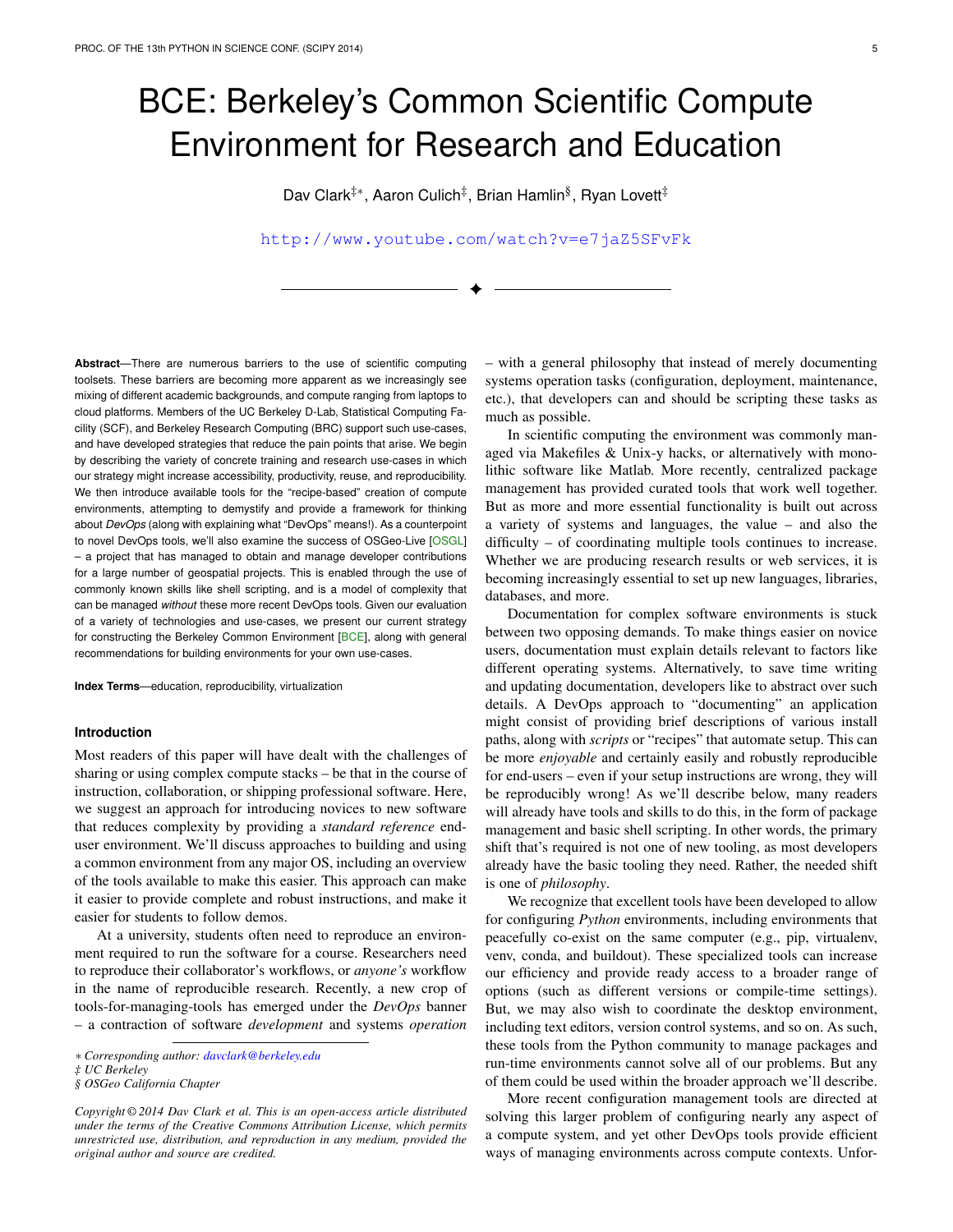# BCE: Berkeley's Common Scientific Compute Environment for Research and Education

Dav Clark<sup>‡∗</sup>, Aaron Culich<sup>‡</sup>, Brian Hamlin<sup>§</sup>, Ryan Lovett<sup>‡</sup>

<http://www.youtube.com/watch?v=e7jaZ5SFvFk>

✦

**Abstract**—There are numerous barriers to the use of scientific computing toolsets. These barriers are becoming more apparent as we increasingly see mixing of different academic backgrounds, and compute ranging from laptops to cloud platforms. Members of the UC Berkeley D-Lab, Statistical Computing Facility (SCF), and Berkeley Research Computing (BRC) support such use-cases, and have developed strategies that reduce the pain points that arise. We begin by describing the variety of concrete training and research use-cases in which our strategy might increase accessibility, productivity, reuse, and reproducibility. We then introduce available tools for the "recipe-based" creation of compute environments, attempting to demystify and provide a framework for thinking about *DevOps* (along with explaining what "DevOps" means!). As a counterpoint to novel DevOps tools, we'll also examine the success of OSGeo-Live [\[OSGL\]](#page-7-0) – a project that has managed to obtain and manage developer contributions for a large number of geospatial projects. This is enabled through the use of commonly known skills like shell scripting, and is a model of complexity that can be managed *without* these more recent DevOps tools. Given our evaluation of a variety of technologies and use-cases, we present our current strategy for constructing the Berkeley Common Environment [\[BCE\]](#page-7-1), along with general recommendations for building environments for your own use-cases.

**Index Terms**—education, reproducibility, virtualization

# **Introduction**

Most readers of this paper will have dealt with the challenges of sharing or using complex compute stacks – be that in the course of instruction, collaboration, or shipping professional software. Here, we suggest an approach for introducing novices to new software that reduces complexity by providing a *standard reference* enduser environment. We'll discuss approaches to building and using a common environment from any major OS, including an overview of the tools available to make this easier. This approach can make it easier to provide complete and robust instructions, and make it easier for students to follow demos.

At a university, students often need to reproduce an environment required to run the software for a course. Researchers need to reproduce their collaborator's workflows, or *anyone's* workflow in the name of reproducible research. Recently, a new crop of tools-for-managing-tools has emerged under the *DevOps* banner – a contraction of software *development* and systems *operation* – with a general philosophy that instead of merely documenting systems operation tasks (configuration, deployment, maintenance, etc.), that developers can and should be scripting these tasks as much as possible.

In scientific computing the environment was commonly managed via Makefiles & Unix-y hacks, or alternatively with monolithic software like Matlab. More recently, centralized package management has provided curated tools that work well together. But as more and more essential functionality is built out across a variety of systems and languages, the value – and also the difficulty – of coordinating multiple tools continues to increase. Whether we are producing research results or web services, it is becoming increasingly essential to set up new languages, libraries, databases, and more.

Documentation for complex software environments is stuck between two opposing demands. To make things easier on novice users, documentation must explain details relevant to factors like different operating systems. Alternatively, to save time writing and updating documentation, developers like to abstract over such details. A DevOps approach to "documenting" an application might consist of providing brief descriptions of various install paths, along with *scripts* or "recipes" that automate setup. This can be more *enjoyable* and certainly easily and robustly reproducible for end-users – even if your setup instructions are wrong, they will be reproducibly wrong! As we'll describe below, many readers will already have tools and skills to do this, in the form of package management and basic shell scripting. In other words, the primary shift that's required is not one of new tooling, as most developers already have the basic tooling they need. Rather, the needed shift is one of *philosophy*.

We recognize that excellent tools have been developed to allow for configuring *Python* environments, including environments that peacefully co-exist on the same computer (e.g., pip, virtualenv, venv, conda, and buildout). These specialized tools can increase our efficiency and provide ready access to a broader range of options (such as different versions or compile-time settings). But, we may also wish to coordinate the desktop environment, including text editors, version control systems, and so on. As such, these tools from the Python community to manage packages and run-time environments cannot solve all of our problems. But any of them could be used within the broader approach we'll describe.

More recent configuration management tools are directed at solving this larger problem of configuring nearly any aspect of a compute system, and yet other DevOps tools provide efficient ways of managing environments across compute contexts. Unfor-

*<sup>\*</sup> Corresponding author: [davclark@berkeley.edu](mailto:davclark@berkeley.edu)*

*<sup>‡</sup> UC Berkeley*

*<sup>§</sup> OSGeo California Chapter*

*Copyright © 2014 Dav Clark et al. This is an open-access article distributed under the terms of the Creative Commons Attribution License, which permits unrestricted use, distribution, and reproduction in any medium, provided the original author and source are credited.*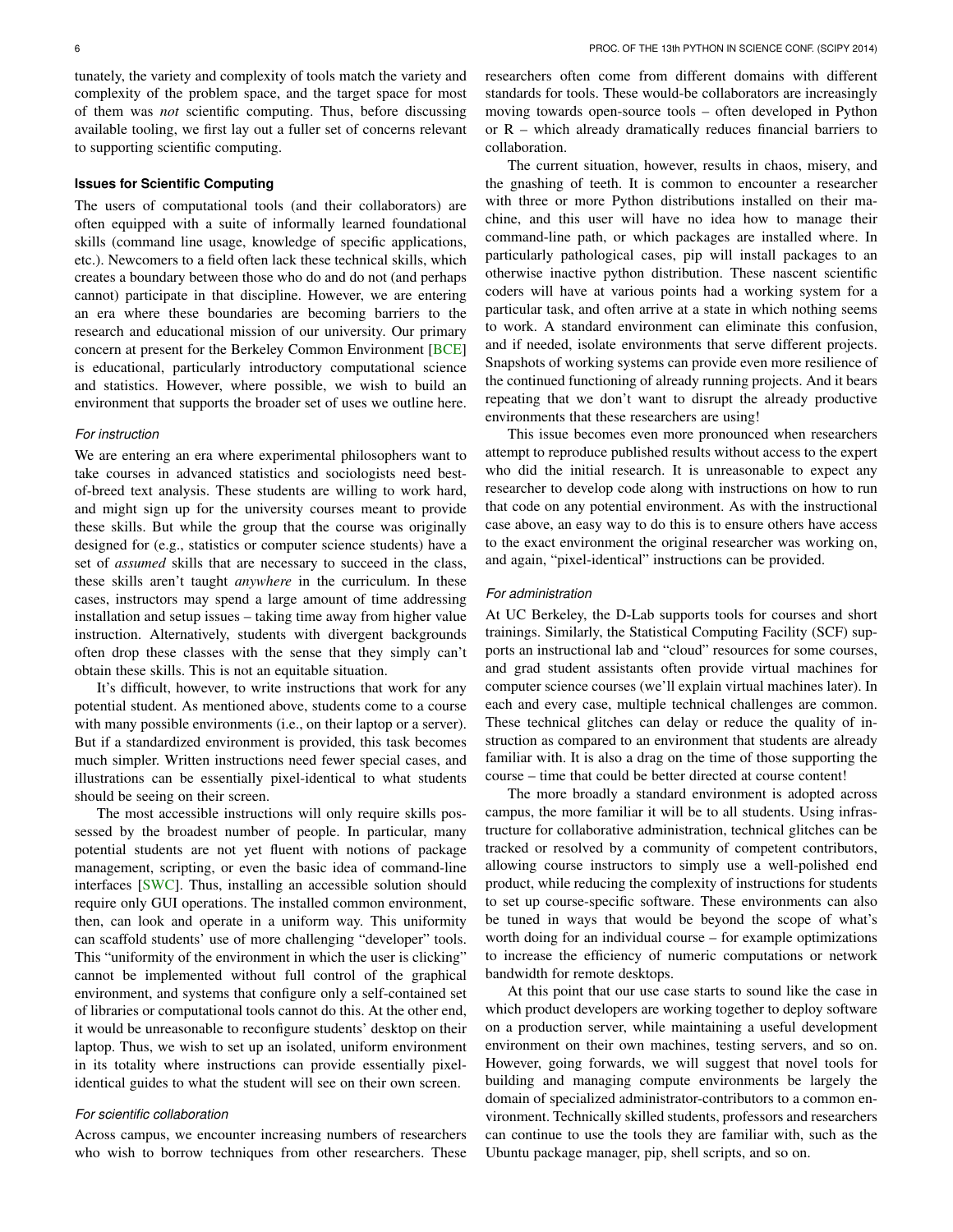tunately, the variety and complexity of tools match the variety and complexity of the problem space, and the target space for most of them was *not* scientific computing. Thus, before discussing available tooling, we first lay out a fuller set of concerns relevant to supporting scientific computing.

## **Issues for Scientific Computing**

The users of computational tools (and their collaborators) are often equipped with a suite of informally learned foundational skills (command line usage, knowledge of specific applications, etc.). Newcomers to a field often lack these technical skills, which creates a boundary between those who do and do not (and perhaps cannot) participate in that discipline. However, we are entering an era where these boundaries are becoming barriers to the research and educational mission of our university. Our primary concern at present for the Berkeley Common Environment [\[BCE\]](#page-7-1) is educational, particularly introductory computational science and statistics. However, where possible, we wish to build an environment that supports the broader set of uses we outline here.

## *For instruction*

We are entering an era where experimental philosophers want to take courses in advanced statistics and sociologists need bestof-breed text analysis. These students are willing to work hard, and might sign up for the university courses meant to provide these skills. But while the group that the course was originally designed for (e.g., statistics or computer science students) have a set of *assumed* skills that are necessary to succeed in the class, these skills aren't taught *anywhere* in the curriculum. In these cases, instructors may spend a large amount of time addressing installation and setup issues – taking time away from higher value instruction. Alternatively, students with divergent backgrounds often drop these classes with the sense that they simply can't obtain these skills. This is not an equitable situation.

It's difficult, however, to write instructions that work for any potential student. As mentioned above, students come to a course with many possible environments (i.e., on their laptop or a server). But if a standardized environment is provided, this task becomes much simpler. Written instructions need fewer special cases, and illustrations can be essentially pixel-identical to what students should be seeing on their screen.

The most accessible instructions will only require skills possessed by the broadest number of people. In particular, many potential students are not yet fluent with notions of package management, scripting, or even the basic idea of command-line interfaces [\[SWC\]](#page-7-2). Thus, installing an accessible solution should require only GUI operations. The installed common environment, then, can look and operate in a uniform way. This uniformity can scaffold students' use of more challenging "developer" tools. This "uniformity of the environment in which the user is clicking" cannot be implemented without full control of the graphical environment, and systems that configure only a self-contained set of libraries or computational tools cannot do this. At the other end, it would be unreasonable to reconfigure students' desktop on their laptop. Thus, we wish to set up an isolated, uniform environment in its totality where instructions can provide essentially pixelidentical guides to what the student will see on their own screen.

## *For scientific collaboration*

Across campus, we encounter increasing numbers of researchers who wish to borrow techniques from other researchers. These researchers often come from different domains with different standards for tools. These would-be collaborators are increasingly moving towards open-source tools – often developed in Python or R – which already dramatically reduces financial barriers to collaboration.

The current situation, however, results in chaos, misery, and the gnashing of teeth. It is common to encounter a researcher with three or more Python distributions installed on their machine, and this user will have no idea how to manage their command-line path, or which packages are installed where. In particularly pathological cases, pip will install packages to an otherwise inactive python distribution. These nascent scientific coders will have at various points had a working system for a particular task, and often arrive at a state in which nothing seems to work. A standard environment can eliminate this confusion, and if needed, isolate environments that serve different projects. Snapshots of working systems can provide even more resilience of the continued functioning of already running projects. And it bears repeating that we don't want to disrupt the already productive environments that these researchers are using!

This issue becomes even more pronounced when researchers attempt to reproduce published results without access to the expert who did the initial research. It is unreasonable to expect any researcher to develop code along with instructions on how to run that code on any potential environment. As with the instructional case above, an easy way to do this is to ensure others have access to the exact environment the original researcher was working on, and again, "pixel-identical" instructions can be provided.

#### *For administration*

At UC Berkeley, the D-Lab supports tools for courses and short trainings. Similarly, the Statistical Computing Facility (SCF) supports an instructional lab and "cloud" resources for some courses, and grad student assistants often provide virtual machines for computer science courses (we'll explain virtual machines later). In each and every case, multiple technical challenges are common. These technical glitches can delay or reduce the quality of instruction as compared to an environment that students are already familiar with. It is also a drag on the time of those supporting the course – time that could be better directed at course content!

The more broadly a standard environment is adopted across campus, the more familiar it will be to all students. Using infrastructure for collaborative administration, technical glitches can be tracked or resolved by a community of competent contributors, allowing course instructors to simply use a well-polished end product, while reducing the complexity of instructions for students to set up course-specific software. These environments can also be tuned in ways that would be beyond the scope of what's worth doing for an individual course – for example optimizations to increase the efficiency of numeric computations or network bandwidth for remote desktops.

At this point that our use case starts to sound like the case in which product developers are working together to deploy software on a production server, while maintaining a useful development environment on their own machines, testing servers, and so on. However, going forwards, we will suggest that novel tools for building and managing compute environments be largely the domain of specialized administrator-contributors to a common environment. Technically skilled students, professors and researchers can continue to use the tools they are familiar with, such as the Ubuntu package manager, pip, shell scripts, and so on.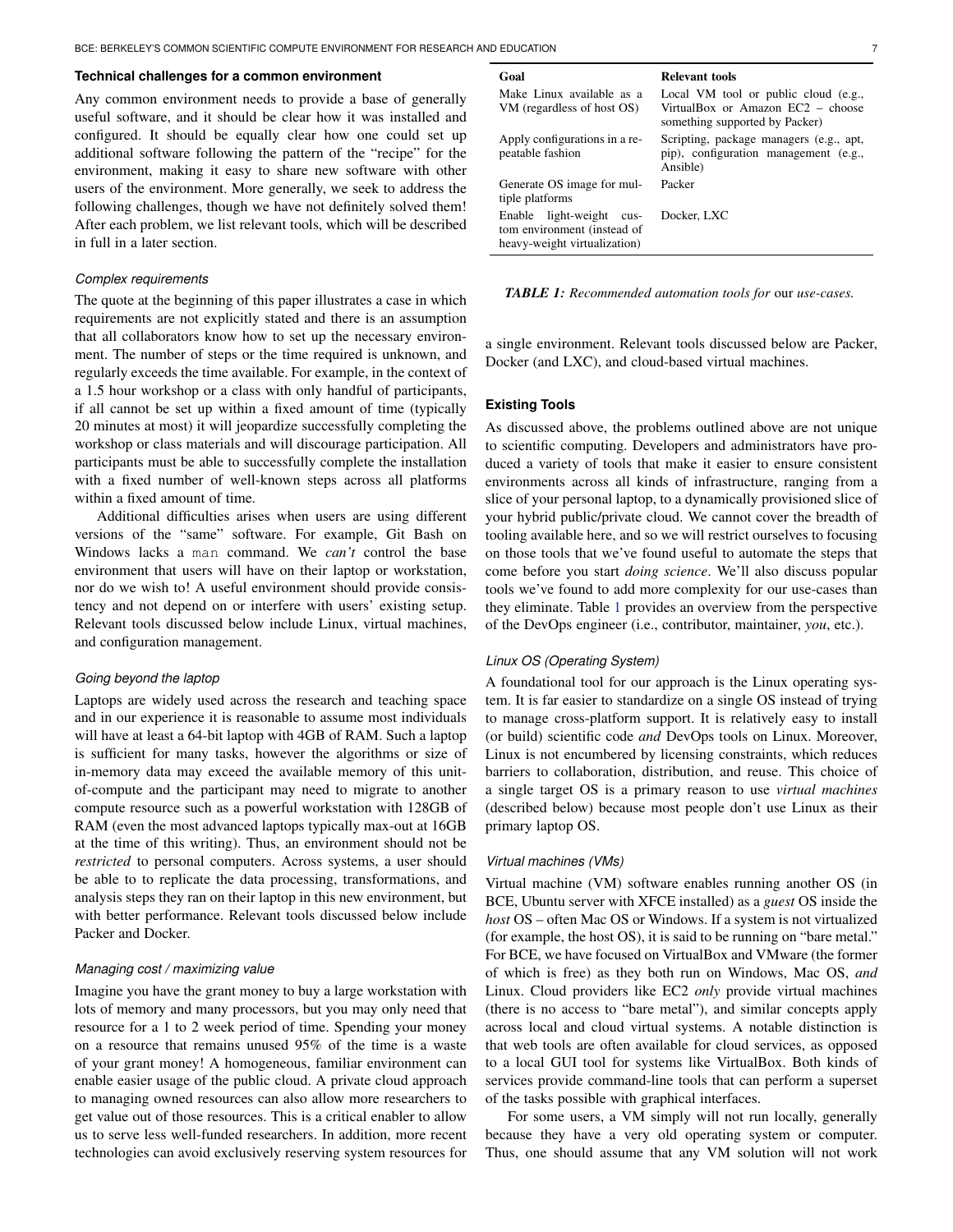#### **Technical challenges for a common environment**

Any common environment needs to provide a base of generally useful software, and it should be clear how it was installed and configured. It should be equally clear how one could set up additional software following the pattern of the "recipe" for the environment, making it easy to share new software with other users of the environment. More generally, we seek to address the following challenges, though we have not definitely solved them! After each problem, we list relevant tools, which will be described in full in a later section.

#### *Complex requirements*

The quote at the beginning of this paper illustrates a case in which requirements are not explicitly stated and there is an assumption that all collaborators know how to set up the necessary environment. The number of steps or the time required is unknown, and regularly exceeds the time available. For example, in the context of a 1.5 hour workshop or a class with only handful of participants, if all cannot be set up within a fixed amount of time (typically 20 minutes at most) it will jeopardize successfully completing the workshop or class materials and will discourage participation. All participants must be able to successfully complete the installation with a fixed number of well-known steps across all platforms within a fixed amount of time.

Additional difficulties arises when users are using different versions of the "same" software. For example, Git Bash on Windows lacks a man command. We *can't* control the base environment that users will have on their laptop or workstation, nor do we wish to! A useful environment should provide consistency and not depend on or interfere with users' existing setup. Relevant tools discussed below include Linux, virtual machines, and configuration management.

#### *Going beyond the laptop*

Laptops are widely used across the research and teaching space and in our experience it is reasonable to assume most individuals will have at least a 64-bit laptop with 4GB of RAM. Such a laptop is sufficient for many tasks, however the algorithms or size of in-memory data may exceed the available memory of this unitof-compute and the participant may need to migrate to another compute resource such as a powerful workstation with 128GB of RAM (even the most advanced laptops typically max-out at 16GB at the time of this writing). Thus, an environment should not be *restricted* to personal computers. Across systems, a user should be able to to replicate the data processing, transformations, and analysis steps they ran on their laptop in this new environment, but with better performance. Relevant tools discussed below include Packer and Docker.

#### *Managing cost / maximizing value*

Imagine you have the grant money to buy a large workstation with lots of memory and many processors, but you may only need that resource for a 1 to 2 week period of time. Spending your money on a resource that remains unused 95% of the time is a waste of your grant money! A homogeneous, familiar environment can enable easier usage of the public cloud. A private cloud approach to managing owned resources can also allow more researchers to get value out of those resources. This is a critical enabler to allow us to serve less well-funded researchers. In addition, more recent technologies can avoid exclusively reserving system resources for

<span id="page-2-0"></span>

| Goal                                                                                       | Relevant tools                                                                                              |
|--------------------------------------------------------------------------------------------|-------------------------------------------------------------------------------------------------------------|
| Make Linux available as a<br>VM (regardless of host OS)                                    | Local VM tool or public cloud (e.g.,<br>VirtualBox or Amazon EC2 – choose<br>something supported by Packer) |
| Apply configurations in a re-<br>peatable fashion                                          | Scripting, package managers (e.g., apt,<br>pip), configuration management (e.g.,<br>Ansible)                |
| Generate OS image for mul-<br>tiple platforms                                              | Packer                                                                                                      |
| light-weight cus-<br>Enable<br>tom environment (instead of<br>heavy-weight virtualization) | Docker, LXC                                                                                                 |

*TABLE 1: Recommended automation tools for* our *use-cases.*

a single environment. Relevant tools discussed below are Packer, Docker (and LXC), and cloud-based virtual machines.

## **Existing Tools**

As discussed above, the problems outlined above are not unique to scientific computing. Developers and administrators have produced a variety of tools that make it easier to ensure consistent environments across all kinds of infrastructure, ranging from a slice of your personal laptop, to a dynamically provisioned slice of your hybrid public/private cloud. We cannot cover the breadth of tooling available here, and so we will restrict ourselves to focusing on those tools that we've found useful to automate the steps that come before you start *doing science*. We'll also discuss popular tools we've found to add more complexity for our use-cases than they eliminate. Table [1](#page-2-0) provides an overview from the perspective of the DevOps engineer (i.e., contributor, maintainer, *you*, etc.).

## *Linux OS (Operating System)*

A foundational tool for our approach is the Linux operating system. It is far easier to standardize on a single OS instead of trying to manage cross-platform support. It is relatively easy to install (or build) scientific code *and* DevOps tools on Linux. Moreover, Linux is not encumbered by licensing constraints, which reduces barriers to collaboration, distribution, and reuse. This choice of a single target OS is a primary reason to use *virtual machines* (described below) because most people don't use Linux as their primary laptop OS.

#### *Virtual machines (VMs)*

Virtual machine (VM) software enables running another OS (in BCE, Ubuntu server with XFCE installed) as a *guest* OS inside the *host* OS – often Mac OS or Windows. If a system is not virtualized (for example, the host OS), it is said to be running on "bare metal." For BCE, we have focused on VirtualBox and VMware (the former of which is free) as they both run on Windows, Mac OS, *and* Linux. Cloud providers like EC2 *only* provide virtual machines (there is no access to "bare metal"), and similar concepts apply across local and cloud virtual systems. A notable distinction is that web tools are often available for cloud services, as opposed to a local GUI tool for systems like VirtualBox. Both kinds of services provide command-line tools that can perform a superset of the tasks possible with graphical interfaces.

For some users, a VM simply will not run locally, generally because they have a very old operating system or computer. Thus, one should assume that any VM solution will not work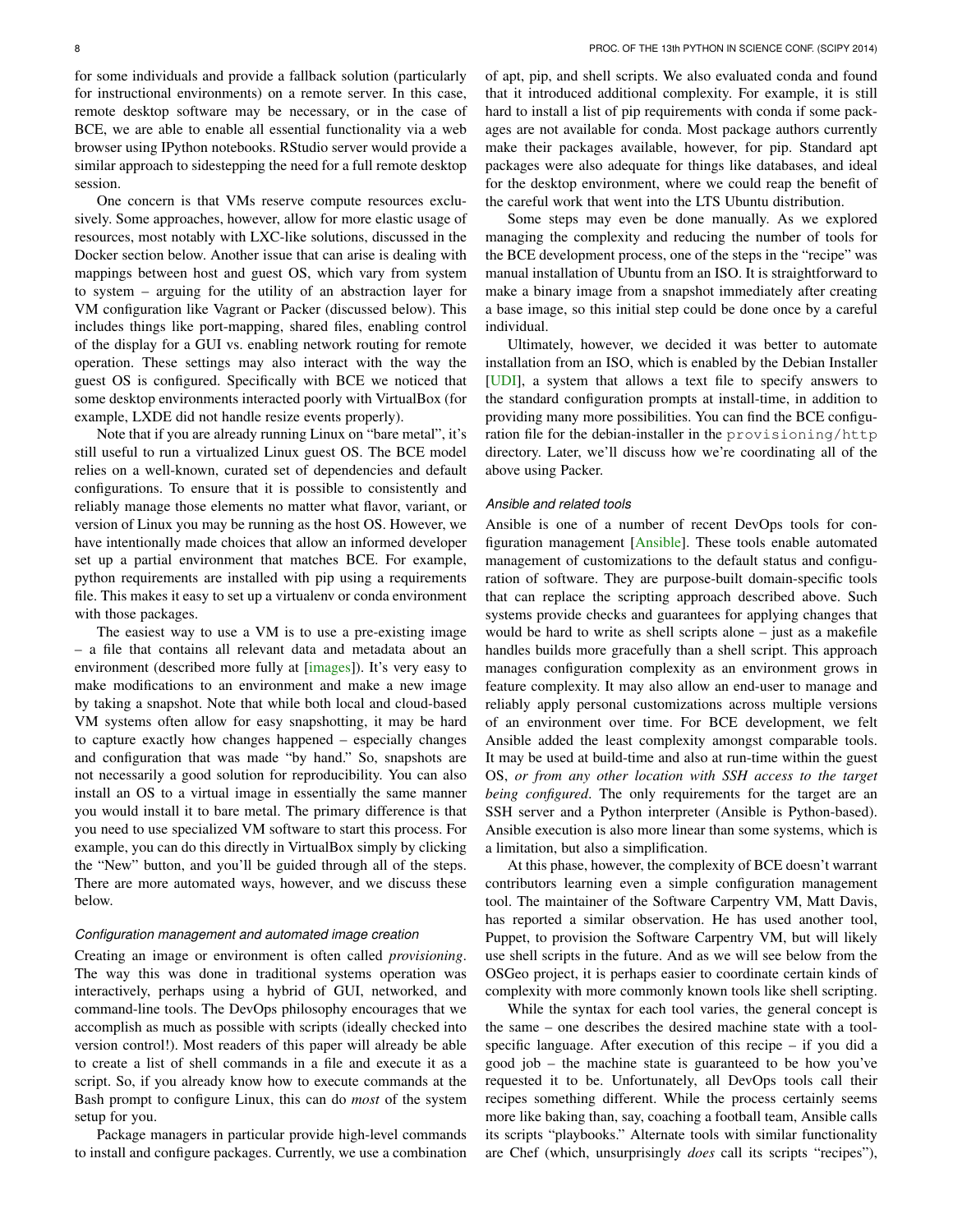One concern is that VMs reserve compute resources exclusively. Some approaches, however, allow for more elastic usage of resources, most notably with LXC-like solutions, discussed in the Docker section below. Another issue that can arise is dealing with mappings between host and guest OS, which vary from system to system – arguing for the utility of an abstraction layer for VM configuration like Vagrant or Packer (discussed below). This includes things like port-mapping, shared files, enabling control of the display for a GUI vs. enabling network routing for remote operation. These settings may also interact with the way the guest OS is configured. Specifically with BCE we noticed that some desktop environments interacted poorly with VirtualBox (for example, LXDE did not handle resize events properly).

Note that if you are already running Linux on "bare metal", it's still useful to run a virtualized Linux guest OS. The BCE model relies on a well-known, curated set of dependencies and default configurations. To ensure that it is possible to consistently and reliably manage those elements no matter what flavor, variant, or version of Linux you may be running as the host OS. However, we have intentionally made choices that allow an informed developer set up a partial environment that matches BCE. For example, python requirements are installed with pip using a requirements file. This makes it easy to set up a virtualenv or conda environment with those packages.

The easiest way to use a VM is to use a pre-existing image – a file that contains all relevant data and metadata about an environment (described more fully at [\[images\]](#page-7-3)). It's very easy to make modifications to an environment and make a new image by taking a snapshot. Note that while both local and cloud-based VM systems often allow for easy snapshotting, it may be hard to capture exactly how changes happened – especially changes and configuration that was made "by hand." So, snapshots are not necessarily a good solution for reproducibility. You can also install an OS to a virtual image in essentially the same manner you would install it to bare metal. The primary difference is that you need to use specialized VM software to start this process. For example, you can do this directly in VirtualBox simply by clicking the "New" button, and you'll be guided through all of the steps. There are more automated ways, however, and we discuss these below.

## *Configuration management and automated image creation*

Creating an image or environment is often called *provisioning*. The way this was done in traditional systems operation was interactively, perhaps using a hybrid of GUI, networked, and command-line tools. The DevOps philosophy encourages that we accomplish as much as possible with scripts (ideally checked into version control!). Most readers of this paper will already be able to create a list of shell commands in a file and execute it as a script. So, if you already know how to execute commands at the Bash prompt to configure Linux, this can do *most* of the system setup for you.

Package managers in particular provide high-level commands to install and configure packages. Currently, we use a combination of apt, pip, and shell scripts. We also evaluated conda and found that it introduced additional complexity. For example, it is still hard to install a list of pip requirements with conda if some packages are not available for conda. Most package authors currently make their packages available, however, for pip. Standard apt packages were also adequate for things like databases, and ideal for the desktop environment, where we could reap the benefit of the careful work that went into the LTS Ubuntu distribution.

Some steps may even be done manually. As we explored managing the complexity and reducing the number of tools for the BCE development process, one of the steps in the "recipe" was manual installation of Ubuntu from an ISO. It is straightforward to make a binary image from a snapshot immediately after creating a base image, so this initial step could be done once by a careful individual.

Ultimately, however, we decided it was better to automate installation from an ISO, which is enabled by the Debian Installer [\[UDI\]](#page-7-4), a system that allows a text file to specify answers to the standard configuration prompts at install-time, in addition to providing many more possibilities. You can find the BCE configuration file for the debian-installer in the provisioning/http directory. Later, we'll discuss how we're coordinating all of the above using Packer.

## *Ansible and related tools*

Ansible is one of a number of recent DevOps tools for configuration management [\[Ansible\]](#page-7-5). These tools enable automated management of customizations to the default status and configuration of software. They are purpose-built domain-specific tools that can replace the scripting approach described above. Such systems provide checks and guarantees for applying changes that would be hard to write as shell scripts alone – just as a makefile handles builds more gracefully than a shell script. This approach manages configuration complexity as an environment grows in feature complexity. It may also allow an end-user to manage and reliably apply personal customizations across multiple versions of an environment over time. For BCE development, we felt Ansible added the least complexity amongst comparable tools. It may be used at build-time and also at run-time within the guest OS, *or from any other location with SSH access to the target being configured*. The only requirements for the target are an SSH server and a Python interpreter (Ansible is Python-based). Ansible execution is also more linear than some systems, which is a limitation, but also a simplification.

At this phase, however, the complexity of BCE doesn't warrant contributors learning even a simple configuration management tool. The maintainer of the Software Carpentry VM, Matt Davis, has reported a similar observation. He has used another tool, Puppet, to provision the Software Carpentry VM, but will likely use shell scripts in the future. And as we will see below from the OSGeo project, it is perhaps easier to coordinate certain kinds of complexity with more commonly known tools like shell scripting.

While the syntax for each tool varies, the general concept is the same – one describes the desired machine state with a toolspecific language. After execution of this recipe – if you did a good job – the machine state is guaranteed to be how you've requested it to be. Unfortunately, all DevOps tools call their recipes something different. While the process certainly seems more like baking than, say, coaching a football team, Ansible calls its scripts "playbooks." Alternate tools with similar functionality are Chef (which, unsurprisingly *does* call its scripts "recipes"),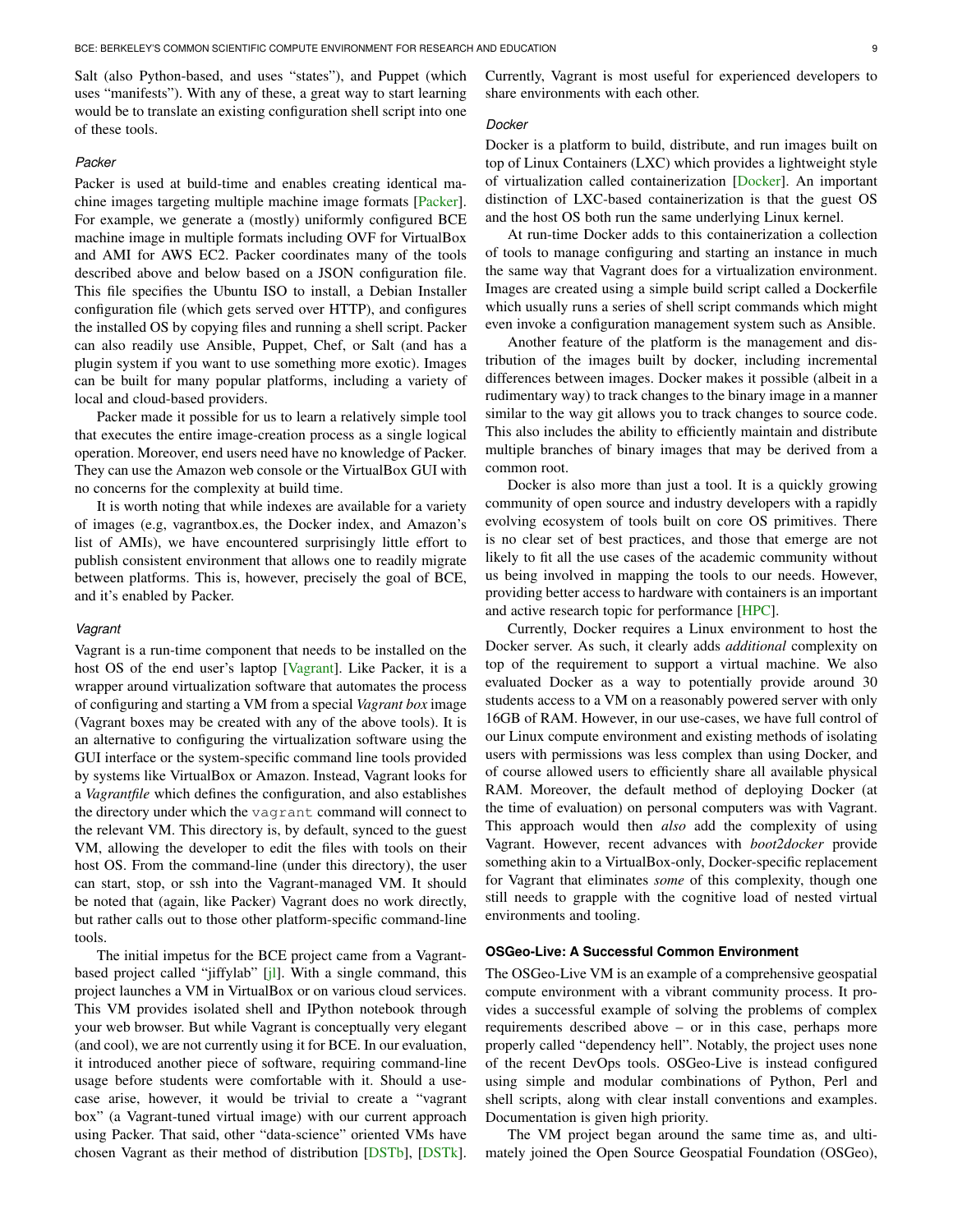Salt (also Python-based, and uses "states"), and Puppet (which uses "manifests"). With any of these, a great way to start learning would be to translate an existing configuration shell script into one of these tools.

## *Packer*

Packer is used at build-time and enables creating identical machine images targeting multiple machine image formats [\[Packer\]](#page-7-6). For example, we generate a (mostly) uniformly configured BCE machine image in multiple formats including OVF for VirtualBox and AMI for AWS EC2. Packer coordinates many of the tools described above and below based on a JSON configuration file. This file specifies the Ubuntu ISO to install, a Debian Installer configuration file (which gets served over HTTP), and configures the installed OS by copying files and running a shell script. Packer can also readily use Ansible, Puppet, Chef, or Salt (and has a plugin system if you want to use something more exotic). Images can be built for many popular platforms, including a variety of local and cloud-based providers.

Packer made it possible for us to learn a relatively simple tool that executes the entire image-creation process as a single logical operation. Moreover, end users need have no knowledge of Packer. They can use the Amazon web console or the VirtualBox GUI with no concerns for the complexity at build time.

It is worth noting that while indexes are available for a variety of images (e.g, vagrantbox.es, the Docker index, and Amazon's list of AMIs), we have encountered surprisingly little effort to publish consistent environment that allows one to readily migrate between platforms. This is, however, precisely the goal of BCE, and it's enabled by Packer.

#### *Vagrant*

Vagrant is a run-time component that needs to be installed on the host OS of the end user's laptop [\[Vagrant\]](#page-7-7). Like Packer, it is a wrapper around virtualization software that automates the process of configuring and starting a VM from a special *Vagrant box* image (Vagrant boxes may be created with any of the above tools). It is an alternative to configuring the virtualization software using the GUI interface or the system-specific command line tools provided by systems like VirtualBox or Amazon. Instead, Vagrant looks for a *Vagrantfile* which defines the configuration, and also establishes the directory under which the vagrant command will connect to the relevant VM. This directory is, by default, synced to the guest VM, allowing the developer to edit the files with tools on their host OS. From the command-line (under this directory), the user can start, stop, or ssh into the Vagrant-managed VM. It should be noted that (again, like Packer) Vagrant does no work directly, but rather calls out to those other platform-specific command-line tools.

The initial impetus for the BCE project came from a Vagrantbased project called "jiffylab" [\[jl\]](#page-7-8). With a single command, this project launches a VM in VirtualBox or on various cloud services. This VM provides isolated shell and IPython notebook through your web browser. But while Vagrant is conceptually very elegant (and cool), we are not currently using it for BCE. In our evaluation, it introduced another piece of software, requiring command-line usage before students were comfortable with it. Should a usecase arise, however, it would be trivial to create a "vagrant box" (a Vagrant-tuned virtual image) with our current approach using Packer. That said, other "data-science" oriented VMs have chosen Vagrant as their method of distribution [\[DSTb\]](#page-7-9), [\[DSTk\]](#page-7-10). Currently, Vagrant is most useful for experienced developers to share environments with each other.

## *Docker*

Docker is a platform to build, distribute, and run images built on top of Linux Containers (LXC) which provides a lightweight style of virtualization called containerization [\[Docker\]](#page-7-11). An important distinction of LXC-based containerization is that the guest OS and the host OS both run the same underlying Linux kernel.

At run-time Docker adds to this containerization a collection of tools to manage configuring and starting an instance in much the same way that Vagrant does for a virtualization environment. Images are created using a simple build script called a Dockerfile which usually runs a series of shell script commands which might even invoke a configuration management system such as Ansible.

Another feature of the platform is the management and distribution of the images built by docker, including incremental differences between images. Docker makes it possible (albeit in a rudimentary way) to track changes to the binary image in a manner similar to the way git allows you to track changes to source code. This also includes the ability to efficiently maintain and distribute multiple branches of binary images that may be derived from a common root.

Docker is also more than just a tool. It is a quickly growing community of open source and industry developers with a rapidly evolving ecosystem of tools built on core OS primitives. There is no clear set of best practices, and those that emerge are not likely to fit all the use cases of the academic community without us being involved in mapping the tools to our needs. However, providing better access to hardware with containers is an important and active research topic for performance [\[HPC\]](#page-7-12).

Currently, Docker requires a Linux environment to host the Docker server. As such, it clearly adds *additional* complexity on top of the requirement to support a virtual machine. We also evaluated Docker as a way to potentially provide around 30 students access to a VM on a reasonably powered server with only 16GB of RAM. However, in our use-cases, we have full control of our Linux compute environment and existing methods of isolating users with permissions was less complex than using Docker, and of course allowed users to efficiently share all available physical RAM. Moreover, the default method of deploying Docker (at the time of evaluation) on personal computers was with Vagrant. This approach would then *also* add the complexity of using Vagrant. However, recent advances with *boot2docker* provide something akin to a VirtualBox-only, Docker-specific replacement for Vagrant that eliminates *some* of this complexity, though one still needs to grapple with the cognitive load of nested virtual environments and tooling.

## **OSGeo-Live: A Successful Common Environment**

The OSGeo-Live VM is an example of a comprehensive geospatial compute environment with a vibrant community process. It provides a successful example of solving the problems of complex requirements described above – or in this case, perhaps more properly called "dependency hell". Notably, the project uses none of the recent DevOps tools. OSGeo-Live is instead configured using simple and modular combinations of Python, Perl and shell scripts, along with clear install conventions and examples. Documentation is given high priority.

The VM project began around the same time as, and ultimately joined the Open Source Geospatial Foundation (OSGeo),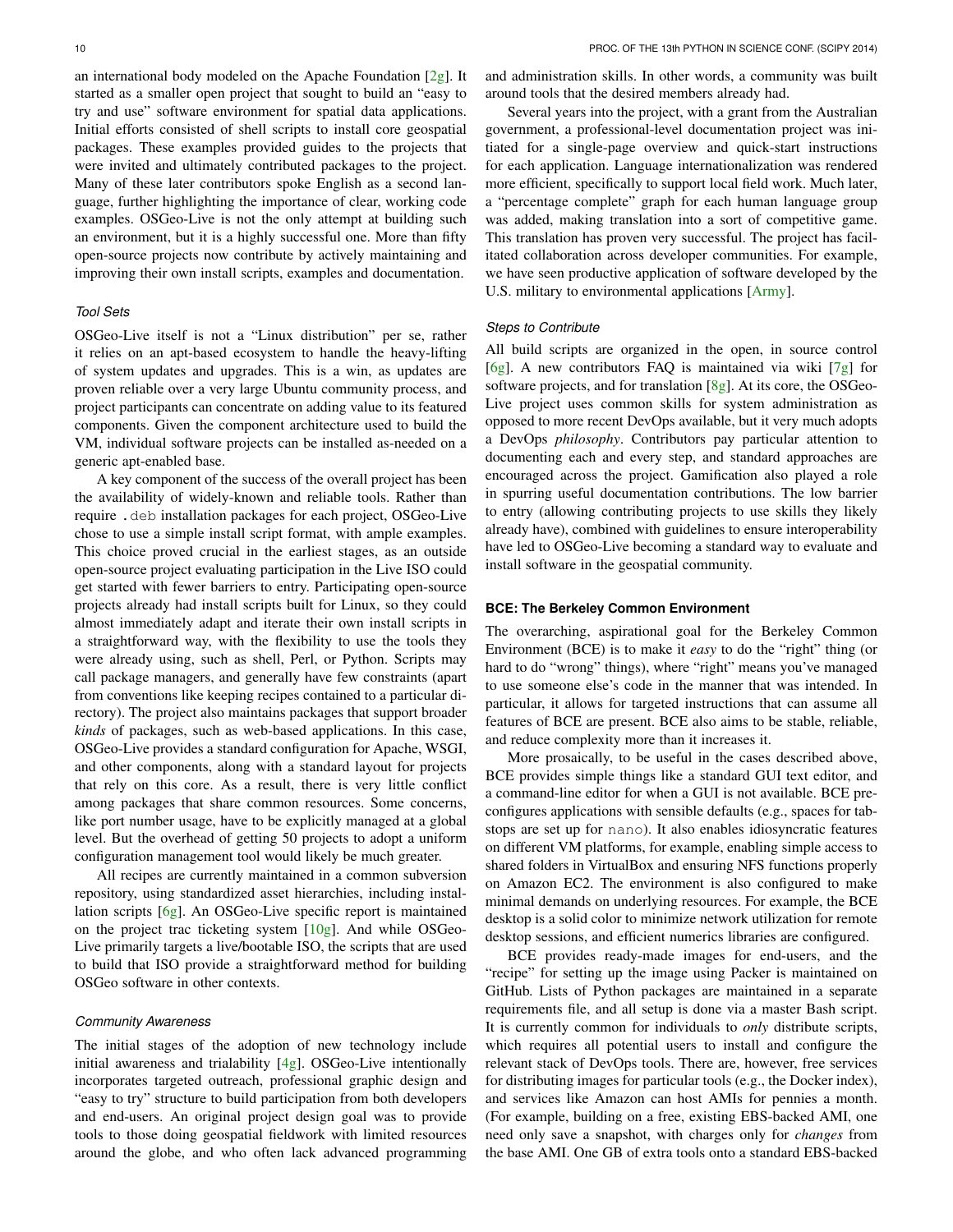an international body modeled on the Apache Foundation [\[2g\]](#page-7-13). It started as a smaller open project that sought to build an "easy to try and use" software environment for spatial data applications. Initial efforts consisted of shell scripts to install core geospatial packages. These examples provided guides to the projects that were invited and ultimately contributed packages to the project. Many of these later contributors spoke English as a second language, further highlighting the importance of clear, working code examples. OSGeo-Live is not the only attempt at building such an environment, but it is a highly successful one. More than fifty open-source projects now contribute by actively maintaining and improving their own install scripts, examples and documentation.

## *Tool Sets*

OSGeo-Live itself is not a "Linux distribution" per se, rather it relies on an apt-based ecosystem to handle the heavy-lifting of system updates and upgrades. This is a win, as updates are proven reliable over a very large Ubuntu community process, and project participants can concentrate on adding value to its featured components. Given the component architecture used to build the VM, individual software projects can be installed as-needed on a generic apt-enabled base.

A key component of the success of the overall project has been the availability of widely-known and reliable tools. Rather than require .deb installation packages for each project, OSGeo-Live chose to use a simple install script format, with ample examples. This choice proved crucial in the earliest stages, as an outside open-source project evaluating participation in the Live ISO could get started with fewer barriers to entry. Participating open-source projects already had install scripts built for Linux, so they could almost immediately adapt and iterate their own install scripts in a straightforward way, with the flexibility to use the tools they were already using, such as shell, Perl, or Python. Scripts may call package managers, and generally have few constraints (apart from conventions like keeping recipes contained to a particular directory). The project also maintains packages that support broader *kinds* of packages, such as web-based applications. In this case, OSGeo-Live provides a standard configuration for Apache, WSGI, and other components, along with a standard layout for projects that rely on this core. As a result, there is very little conflict among packages that share common resources. Some concerns, like port number usage, have to be explicitly managed at a global level. But the overhead of getting 50 projects to adopt a uniform configuration management tool would likely be much greater.

All recipes are currently maintained in a common subversion repository, using standardized asset hierarchies, including installation scripts [\[6g\]](#page-7-14). An OSGeo-Live specific report is maintained on the project trac ticketing system [\[10g\]](#page-7-15). And while OSGeo-Live primarily targets a live/bootable ISO, the scripts that are used to build that ISO provide a straightforward method for building OSGeo software in other contexts.

#### *Community Awareness*

The initial stages of the adoption of new technology include initial awareness and trialability  $[4g]$ . OSGeo-Live intentionally incorporates targeted outreach, professional graphic design and "easy to try" structure to build participation from both developers and end-users. An original project design goal was to provide tools to those doing geospatial fieldwork with limited resources around the globe, and who often lack advanced programming and administration skills. In other words, a community was built around tools that the desired members already had.

Several years into the project, with a grant from the Australian government, a professional-level documentation project was initiated for a single-page overview and quick-start instructions for each application. Language internationalization was rendered more efficient, specifically to support local field work. Much later, a "percentage complete" graph for each human language group was added, making translation into a sort of competitive game. This translation has proven very successful. The project has facilitated collaboration across developer communities. For example, we have seen productive application of software developed by the U.S. military to environmental applications [\[Army\]](#page-7-17).

#### *Steps to Contribute*

All build scripts are organized in the open, in source control [\[6g\]](#page-7-14). A new contributors FAQ is maintained via wiki [\[7g\]](#page-7-18) for software projects, and for translation [\[8g\]](#page-7-19). At its core, the OSGeo-Live project uses common skills for system administration as opposed to more recent DevOps available, but it very much adopts a DevOps *philosophy*. Contributors pay particular attention to documenting each and every step, and standard approaches are encouraged across the project. Gamification also played a role in spurring useful documentation contributions. The low barrier to entry (allowing contributing projects to use skills they likely already have), combined with guidelines to ensure interoperability have led to OSGeo-Live becoming a standard way to evaluate and install software in the geospatial community.

## **BCE: The Berkeley Common Environment**

The overarching, aspirational goal for the Berkeley Common Environment (BCE) is to make it *easy* to do the "right" thing (or hard to do "wrong" things), where "right" means you've managed to use someone else's code in the manner that was intended. In particular, it allows for targeted instructions that can assume all features of BCE are present. BCE also aims to be stable, reliable, and reduce complexity more than it increases it.

More prosaically, to be useful in the cases described above, BCE provides simple things like a standard GUI text editor, and a command-line editor for when a GUI is not available. BCE preconfigures applications with sensible defaults (e.g., spaces for tabstops are set up for nano). It also enables idiosyncratic features on different VM platforms, for example, enabling simple access to shared folders in VirtualBox and ensuring NFS functions properly on Amazon EC2. The environment is also configured to make minimal demands on underlying resources. For example, the BCE desktop is a solid color to minimize network utilization for remote desktop sessions, and efficient numerics libraries are configured.

BCE provides ready-made images for end-users, and the "recipe" for setting up the image using Packer is maintained on GitHub. Lists of Python packages are maintained in a separate requirements file, and all setup is done via a master Bash script. It is currently common for individuals to *only* distribute scripts, which requires all potential users to install and configure the relevant stack of DevOps tools. There are, however, free services for distributing images for particular tools (e.g., the Docker index), and services like Amazon can host AMIs for pennies a month. (For example, building on a free, existing EBS-backed AMI, one need only save a snapshot, with charges only for *changes* from the base AMI. One GB of extra tools onto a standard EBS-backed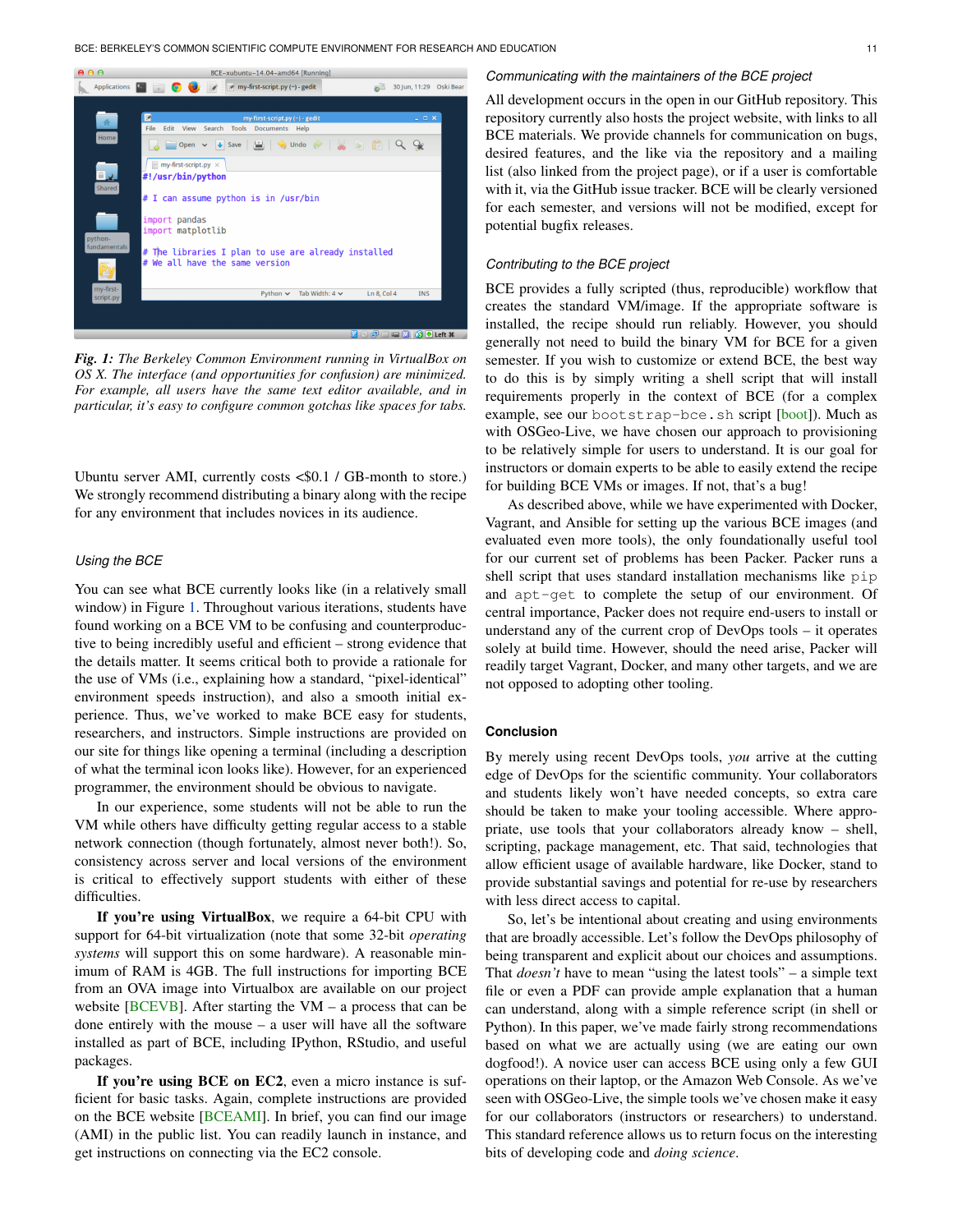<span id="page-6-0"></span>

*Fig. 1: The Berkeley Common Environment running in VirtualBox on OS X. The interface (and opportunities for confusion) are minimized. For example, all users have the same text editor available, and in particular, it's easy to configure common gotchas like spaces for tabs.*

Ubuntu server AMI, currently costs <\$0.1 / GB-month to store.) We strongly recommend distributing a binary along with the recipe for any environment that includes novices in its audience.

## *Using the BCE*

You can see what BCE currently looks like (in a relatively small window) in Figure [1.](#page-6-0) Throughout various iterations, students have found working on a BCE VM to be confusing and counterproductive to being incredibly useful and efficient – strong evidence that the details matter. It seems critical both to provide a rationale for the use of VMs (i.e., explaining how a standard, "pixel-identical" environment speeds instruction), and also a smooth initial experience. Thus, we've worked to make BCE easy for students, researchers, and instructors. Simple instructions are provided on our site for things like opening a terminal (including a description of what the terminal icon looks like). However, for an experienced programmer, the environment should be obvious to navigate.

In our experience, some students will not be able to run the VM while others have difficulty getting regular access to a stable network connection (though fortunately, almost never both!). So, consistency across server and local versions of the environment is critical to effectively support students with either of these difficulties.

If you're using VirtualBox, we require a 64-bit CPU with support for 64-bit virtualization (note that some 32-bit *operating systems* will support this on some hardware). A reasonable minimum of RAM is 4GB. The full instructions for importing BCE from an OVA image into Virtualbox are available on our project website  $[**BEVB**]$ . After starting the VM – a process that can be done entirely with the mouse – a user will have all the software installed as part of BCE, including IPython, RStudio, and useful packages.

If you're using BCE on EC2, even a micro instance is sufficient for basic tasks. Again, complete instructions are provided on the BCE website [\[BCEAMI\]](#page-7-21). In brief, you can find our image (AMI) in the public list. You can readily launch in instance, and get instructions on connecting via the EC2 console.

#### *Communicating with the maintainers of the BCE project*

All development occurs in the open in our GitHub repository. This repository currently also hosts the project website, with links to all BCE materials. We provide channels for communication on bugs, desired features, and the like via the repository and a mailing list (also linked from the project page), or if a user is comfortable with it, via the GitHub issue tracker. BCE will be clearly versioned for each semester, and versions will not be modified, except for potential bugfix releases.

## *Contributing to the BCE project*

BCE provides a fully scripted (thus, reproducible) workflow that creates the standard VM/image. If the appropriate software is installed, the recipe should run reliably. However, you should generally not need to build the binary VM for BCE for a given semester. If you wish to customize or extend BCE, the best way to do this is by simply writing a shell script that will install requirements properly in the context of BCE (for a complex example, see our bootstrap-bce.sh script [\[boot\]](#page-7-22)). Much as with OSGeo-Live, we have chosen our approach to provisioning to be relatively simple for users to understand. It is our goal for instructors or domain experts to be able to easily extend the recipe for building BCE VMs or images. If not, that's a bug!

As described above, while we have experimented with Docker, Vagrant, and Ansible for setting up the various BCE images (and evaluated even more tools), the only foundationally useful tool for our current set of problems has been Packer. Packer runs a shell script that uses standard installation mechanisms like pip and apt-get to complete the setup of our environment. Of central importance, Packer does not require end-users to install or understand any of the current crop of DevOps tools – it operates solely at build time. However, should the need arise, Packer will readily target Vagrant, Docker, and many other targets, and we are not opposed to adopting other tooling.

## **Conclusion**

By merely using recent DevOps tools, *you* arrive at the cutting edge of DevOps for the scientific community. Your collaborators and students likely won't have needed concepts, so extra care should be taken to make your tooling accessible. Where appropriate, use tools that your collaborators already know – shell, scripting, package management, etc. That said, technologies that allow efficient usage of available hardware, like Docker, stand to provide substantial savings and potential for re-use by researchers with less direct access to capital.

So, let's be intentional about creating and using environments that are broadly accessible. Let's follow the DevOps philosophy of being transparent and explicit about our choices and assumptions. That *doesn't* have to mean "using the latest tools" – a simple text file or even a PDF can provide ample explanation that a human can understand, along with a simple reference script (in shell or Python). In this paper, we've made fairly strong recommendations based on what we are actually using (we are eating our own dogfood!). A novice user can access BCE using only a few GUI operations on their laptop, or the Amazon Web Console. As we've seen with OSGeo-Live, the simple tools we've chosen make it easy for our collaborators (instructors or researchers) to understand. This standard reference allows us to return focus on the interesting bits of developing code and *doing science*.